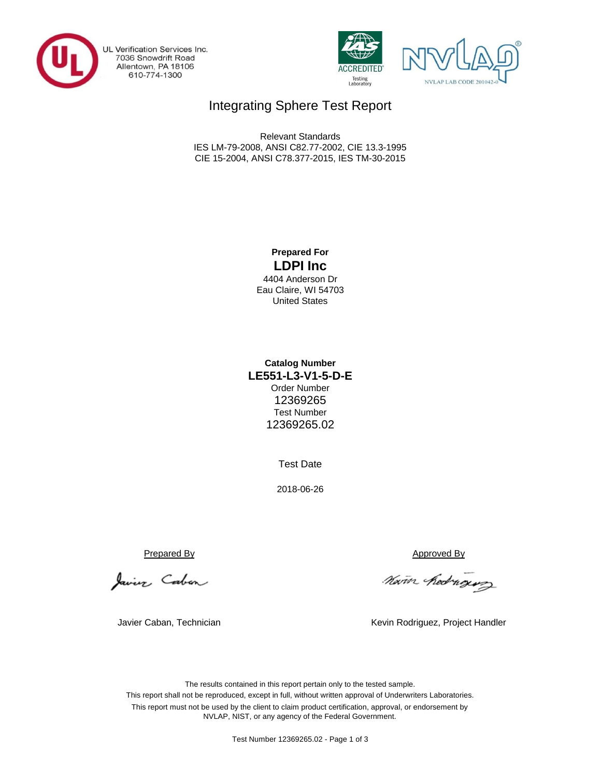

UL Verification Services Inc.<br>7036 Snowdrift Road<br>Allentown, PA 18106 610-774-1300





## Integrating Sphere Test Report

CIE 15-2004, ANSI C78.377-2015, IES TM-30-2015 Relevant Standards IES LM-79-2008, ANSI C82.77-2002, CIE 13.3-1995

### **Prepared For LDPI Inc**

4404 Anderson Dr Eau Claire, WI 54703 United States

#### **Catalog Number** Order Number 12369265 Test Number 12369265.02 **LE551-L3-V1-5-D-E**

Test Date

2018-06-26

Javier Caban

Javier Caban, Technician

Prepared By Approved By

Nam hedroging

Kevin Rodriguez, Project Handler

The results contained in this report pertain only to the tested sample. This report shall not be reproduced, except in full, without written approval of Underwriters Laboratories. This report must not be used by the client to claim product certification, approval, or endorsement by NVLAP, NIST, or any agency of the Federal Government.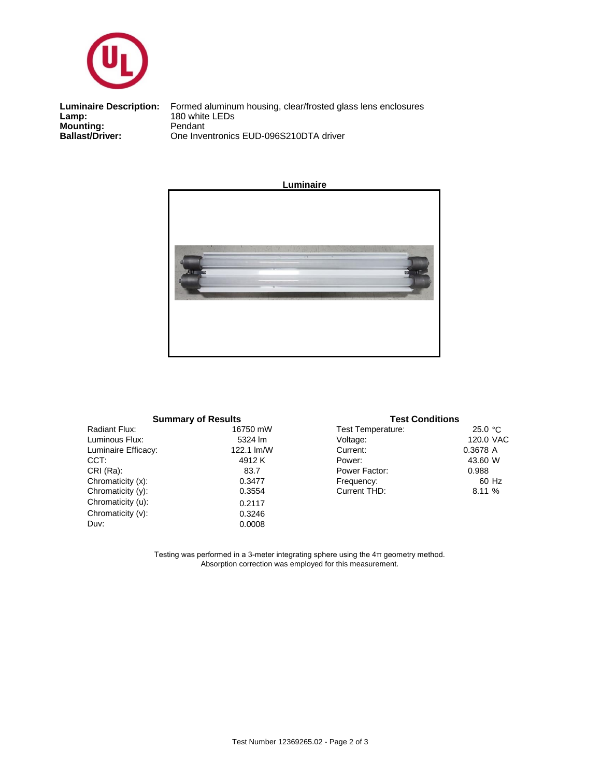

**Mounting:** Pendant<br> **Ballast/Driver:** One Inve **Luminaire Description:**<br>Lamp:

Formed aluminum housing, clear/frosted glass lens enclosures<br>180 white LEDs One Inventronics EUD-096S210DTA driver



| <b>Summary of Results</b> |            |  |  |  |  |  |  |  |
|---------------------------|------------|--|--|--|--|--|--|--|
| Radiant Flux:             | 16750 mW   |  |  |  |  |  |  |  |
| Luminous Flux:            | 5324 lm    |  |  |  |  |  |  |  |
| Luminaire Efficacy:       | 122.1 lm/W |  |  |  |  |  |  |  |
| CCT:                      | 4912K      |  |  |  |  |  |  |  |
| CRI (Ra):                 | 83.7       |  |  |  |  |  |  |  |
| Chromaticity (x):         | 0.3477     |  |  |  |  |  |  |  |
| Chromaticity (y):         | 0.3554     |  |  |  |  |  |  |  |
| Chromaticity (u):         | 0.2117     |  |  |  |  |  |  |  |
| Chromaticity (v):         | 0.3246     |  |  |  |  |  |  |  |
| Duv:                      | 0.0008     |  |  |  |  |  |  |  |
|                           |            |  |  |  |  |  |  |  |

|    | <b>Summary of Results</b> | <b>Test Conditions</b> |           |
|----|---------------------------|------------------------|-----------|
|    | 16750 mW                  | Test Temperature:      | 25.0 °C   |
|    | 5324 lm                   | Voltage:               | 120.0 VAC |
| ľ. | 122.1 lm/W                | Current:               | 0.3678 A  |
|    | 4912 K                    | Power:                 | 43.60 W   |
|    | 83.7                      | Power Factor:          | 0.988     |
|    | 0.3477                    | Frequency:             | 60 Hz     |
|    | 0.3554                    | Current THD:           | 8.11 %    |
|    | 0.0117                    |                        |           |

Testing was performed in a 3-meter integrating sphere using the 4π geometry method. Absorption correction was employed for this measurement.